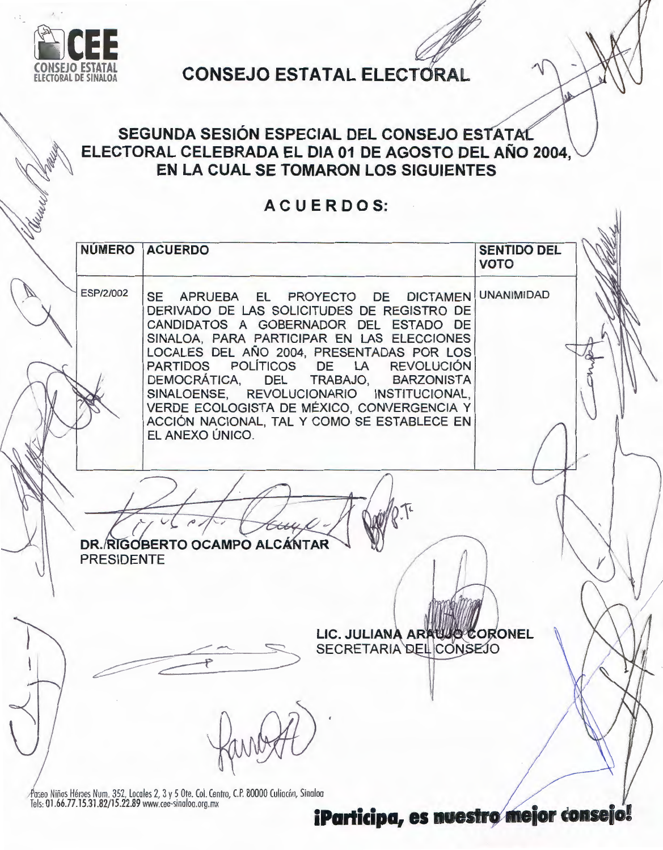

# **CONSEJO ESTATAL ELECTORAL**

## SEGUNDA SESIÓN ESPECIAL DEL CONSEJO ESTATAL ELECTORAL CELEBRADA EL DIA 01 DE AGOSTO DEL AÑO 2004, EN LA CUAL SE TOMARON LOS SIGUIENTES

### ACUERDOS:

| ESP/2/002<br>SE APRUEBA EL PROYECTO DE DICTAMEN UNANIMIDAD<br>DERIVADO DE LAS SOLICITUDES DE REGISTRO DE<br>CANDIDATOS A GOBERNADOR DEL ESTADO DE<br>SINALOA, PARA PARTICIPAR EN LAS ELECCIONES<br>LOCALES DEL AÑO 2004, PRESENTADAS POR LOS<br>POLÍTICOS DE LA<br><b>REVOLUCIÓN</b><br><b>PARTIDOS</b><br>DEMOCRÁTICA,<br><b>DEL</b><br>TRABAJO,<br><b>BARZONISTA</b><br>SINALOENSE, REVOLUCIONARIO INSTITUCIONAL,<br>VERDE ECOLOGISTA DE MÉXICO, CONVERGENCIA Y<br>ACCIÓN NACIONAL, TAL Y COMO SE ESTABLECE EN<br>EL ANEXO ÚNICO. | DR. RIGOBERTO OCAMPO ALCÁNTAR<br><b>PRESIDENTE</b> | LIC. JULIANA ARAUJO CORONEL<br>SECRETARIA DEL CONSEJO | <b>NÚMERO</b> | <b>ACUERDO</b> | <b>SENTIDO DEL</b><br><b>VOTO</b> |  |
|-------------------------------------------------------------------------------------------------------------------------------------------------------------------------------------------------------------------------------------------------------------------------------------------------------------------------------------------------------------------------------------------------------------------------------------------------------------------------------------------------------------------------------------|----------------------------------------------------|-------------------------------------------------------|---------------|----------------|-----------------------------------|--|
|                                                                                                                                                                                                                                                                                                                                                                                                                                                                                                                                     |                                                    |                                                       |               |                |                                   |  |
|                                                                                                                                                                                                                                                                                                                                                                                                                                                                                                                                     |                                                    |                                                       |               |                |                                   |  |

Paseo Niños Héroes Num. 352, Locales 2, 3 y 5 Ote. Col. Centro, C.P. 80000 Culiacán, Sinaloa<br>Tels: 01.66.77.15.31.82/15.22.89 www.cee-sinaloa.org.mx

iParticipa, es nuestro mejor consejo!

ı,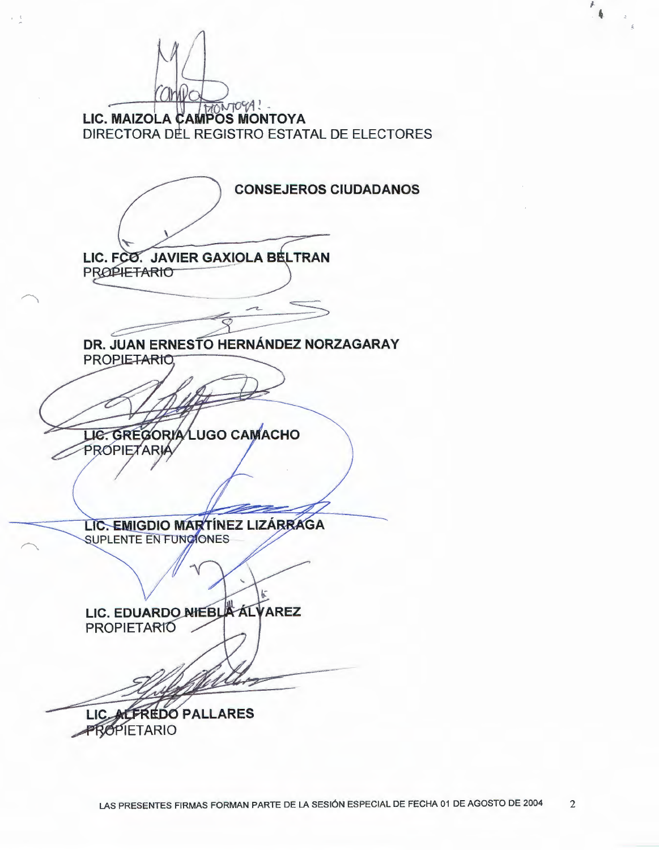anwo LIC. MAIZOLA CAMPOS MONTOYA DIRECTORA DEL REGISTRO ESTATAL DE ELECTORES **CONSEJEROS CIUDADANOS** LIC. FCO. JAVIER GAXIOLA BELTRAN **PROPIETARIO** DR. JUAN ERNESTO HERNÁNDEZ NORZAGARAY **PROPIETARIO** LIE. GREGORIA LUGO CAMACHO PROPIETARIA LIC. EMIGDIO MARTÍNEZ LIZÁRRAGA SUPLENTE EN FUNCIONES LIC. EDUARDO NIEBLA ALVAREZ **PROPIETARIO** LIC ALFREDO PALLARES **PROPIETARIO** 

 $\rightarrow$   $-1$ 

¥. 喜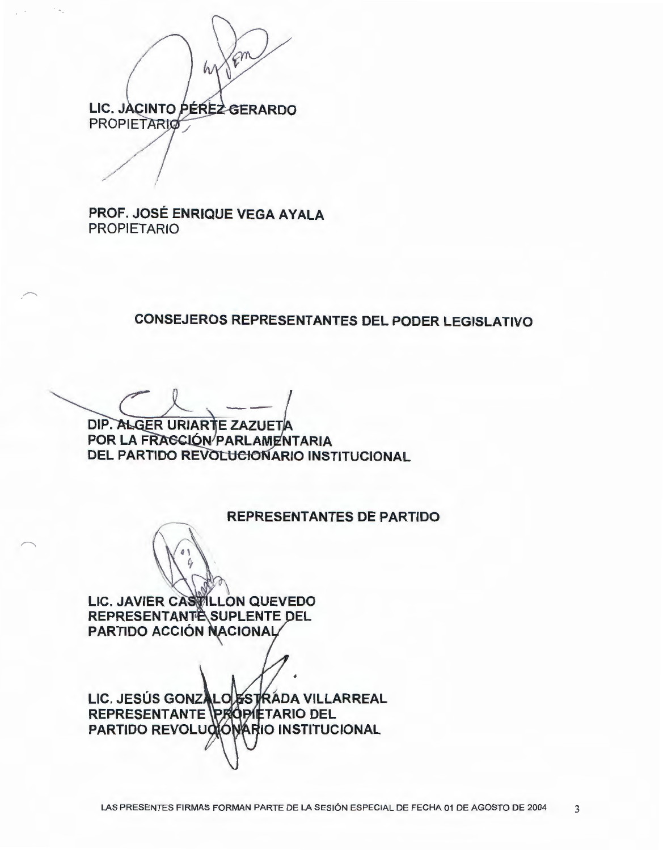$\widehat{\mathcal{C}}^n$ h, LIC. JACINTO PÉREZ GERARDO **PROPIETARIO** 

PROF. JOSÉ ENRIQUE VEGA AYALA **PROPIETARIO** 

### **CONSEJEROS REPRESENTANTES DEL PODER LEGISLATIVO**

DIP. ALGER URIARTE ZAZUETA POR LA FRAGCIÓN PARLAMENTARIA **DEL PARTIDO REVOLUCIONARIO INSTITUCIONAL** 

#### **REPRESENTANTES DE PARTIDO**

LIC. JAVIER CASTILLON QUEVEDO **REPRESENTANTE SUPLENTE DEL** PARTIDO ACCIÓN NACIONAL

LIC. JESÚS GONZALO ESTRÁDA VILLARREAL REPRESENTANTE PROPIETARIO DEL PARTIDO REVOLUCIÓNARIO INSTITUCIONAL